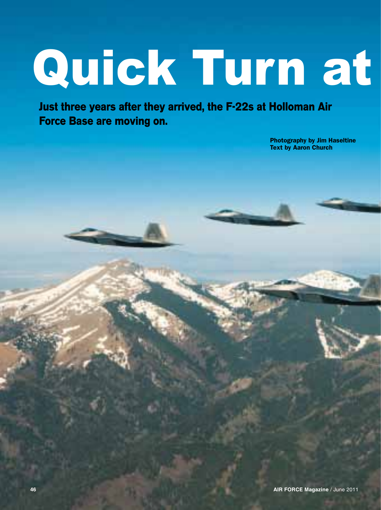## Quick Turn at

**Just three years after they arrived, the F-22s at Holloman Air Force Base are moving on.** 

> Photography by Jim Haseltine Text by Aaron Church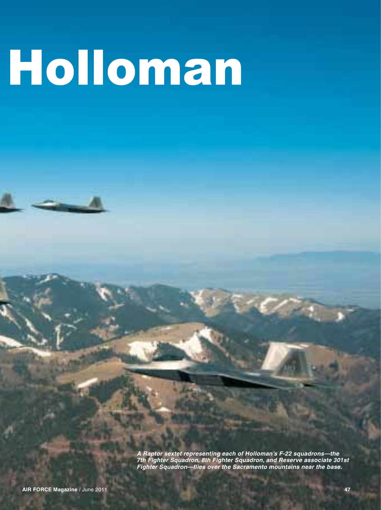## Holloman

*A Raptor sextet representing each of Holloman's F-22 squadrons—the 7th Fighter Squadron, 8th Fighter Squadron, and Reserve associate 301st Fighter Squadron—flies over the Sacramento mountains near the base.*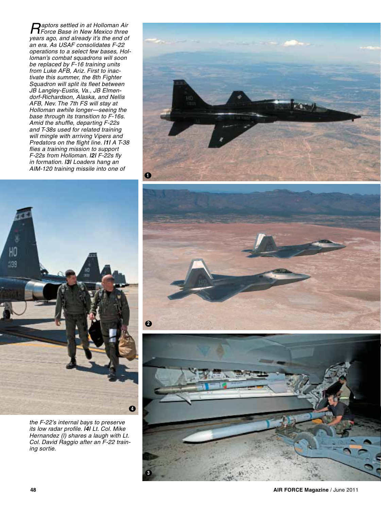*Raptors settled in at Holloman Air Force Base in New Mexico three years ago, and already it's the end of an era. As USAF consolidates F-22 operations to a select few bases, Holloman's combat squadrons will soon be replaced by F-16 training units from Luke AFB, Ariz. First to inactivate this summer, the 8th Fighter Squadron will split its fleet between JB Langley-Eustis, Va., JB Elmendorf-Richardson, Alaska, and Nellis AFB, Nev. The 7th FS will stay at Holloman awhile longer—seeing the base through its transition to F-16s. Amid the shuffle, departing F-22s and T-38s used for related training will mingle with arriving Vipers and Predators on the flight line. |1| A T-38 flies a training mission to support F-22s from Holloman. |2| F-22s fly in formation. |3| Loaders hang an AIM-120 training missile into one of* 





*the F-22's internal bays to preserve its low radar profile. |4| Lt. Col. Mike Hernandez (l) shares a laugh with Lt. Col. David Raggio after an F-22 training sortie.*

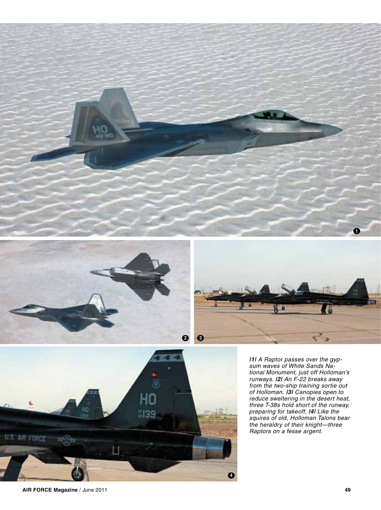







*|1| A Raptor passes over the gypsum waves of White Sands National Monument, just off Holloman's runways. |2| An F-22 breaks away from the two-ship training sortie out of Holloman. |3| Canopies open to reduce sweltering in the desert heat, three T-38s hold short of the runway, preparing for takeoff. |4| Like the squires of old, Holloman Talons bear the heraldry of their knight—three Raptors on a fesse argent.* 

**AIR FORCE Magazine** / June 2011 **49**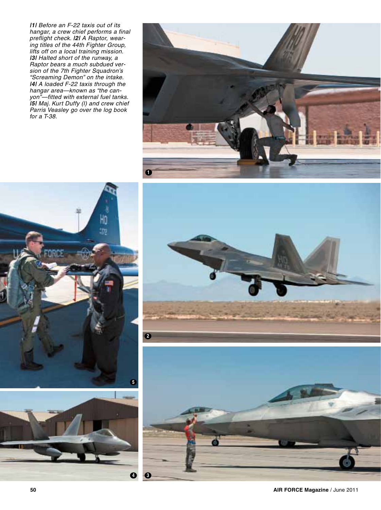*|1| Before an F-22 taxis out of its hangar, a crew chief performs a final preflight check. |2| A Raptor, wearing titles of the 44th Fighter Group, lifts off on a local training mission. |3| Halted short of the runway, a Raptor bears a much subdued version of the 7th Fighter Squadron's "Screaming Demon" on the intake. |4| A loaded F-22 taxis through the hangar area—known as "the canyon"—fitted with external fuel tanks. |5| Maj. Kurt Duffy (l) and crew chief Parris Veasley go over the log book for a T-38.* 









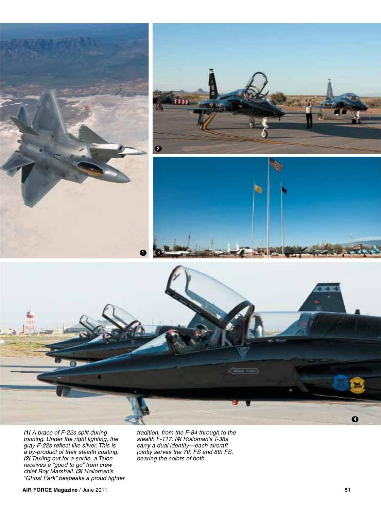







*|1| A brace of F-22s split during training. Under the right lighting, the gray F-22s reflect like silver. This is a by-product of their stealth coating. |2| Taxiing out for a sortie, a Talon receives a "good to go" from crew chief Roy Marshall. |3| Holloman's "Ghost Park" bespeaks a proud fighter* 

*tradition, from the F-84 through to the stealth F-117. |4| Holloman's T-38s carry a dual identity—each aircraft jointly serves the 7th FS and 8th FS, bearing the colors of both.*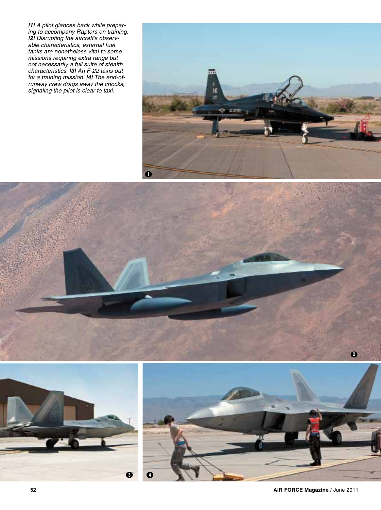*|1| A pilot glances back while preparing to accompany Raptors on training. |2| Disrupting the aircraft's observable characteristics, external fuel tanks are nonetheless vital to some missions requiring extra range but not necessarily a full suite of stealth characteristics. |3| An F-22 taxis out for a training mission. |4| The end-ofrunway crew drags away the chocks, signaling the pilot is clear to taxi.*